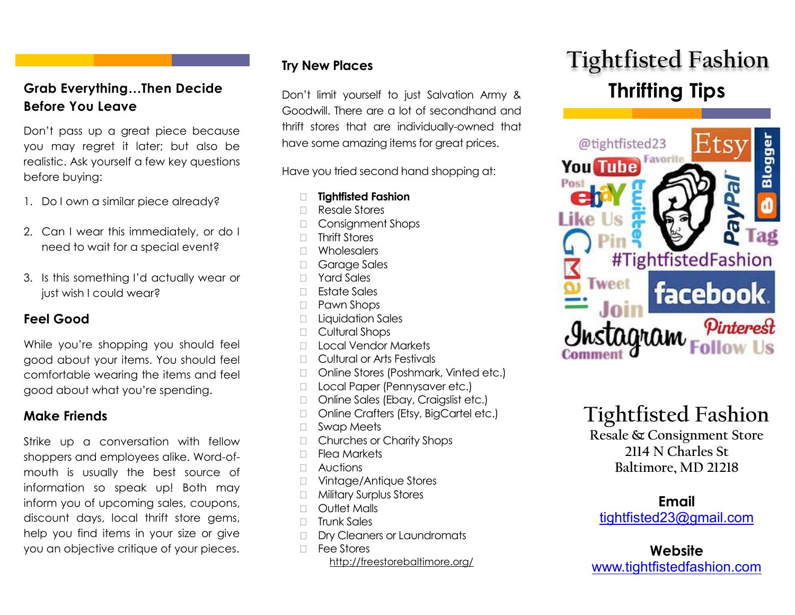# Grab Everything...Then Decide **Don't limit yourself to just Salvation Army & Thrifting Tips Before You Leave**

Don't pass up a great piece because you may regret it later; but also be realistic. Ask yourself a few key questions before buying:

- 1. Do I own a similar piece already?
- 2. Can I wear this immediately, or do I need to wait for a special event?
- 3. Is this something I'd actually wear or just wish I could wear?

# **Feel Good**

While you're shopping you should feel good about your items. You should feel comfortable wearing the items and feel good about what you're spending.

# **Make Friends**

Strike up a conversation with fellow shoppers and employees alike. Word-ofmouth is usually the best source of information so speak up! Both may inform you of upcoming sales, coupons, discount days, local thrift store gems, help you find items in your size or give you an objective critique of your pieces.

# **Try New Places**

Don't limit yourself to just Salvation Army & Goodwill. There are a lot of secondhand and thrift stores that are individually-owned that have some amazing items for great prices.

Have you tried second hand shopping at:

- **Tightfisted Fashion**
- Resale Stores
- Consignment Shops
- □ Thrift Stores
- Wholesalers
- Garage Sales
- Yard Sales
- $\Box$  Estate Sales
- □ Pawn Shops
- **Liquidation Sales**
- □ Cultural Shops
- Local Vendor Markets
- **Cultural or Arts Festivals**
- □ Online Stores (Poshmark, Vinted etc.)
- □ Local Paper (Pennysaver etc.)
- □ Online Sales (Ebay, Craigslist etc.)
- □ Online Crafters (Etsy, BigCartel etc.)
- □ Swap Meets
- □ Churches or Charity Shops
- $\Box$  Flea Markets
- Auctions
- □ Vintage/Antique Stores
- **Nilitary Surplus Stores**
- D Outlet Malls
- $\Box$  Trunk Sales
- Dry Cleaners or Laundromats
- □ Fee Stores http://freestorebaltimore.org/

# **Tightfisted Fashion**



# **Tightfisted Fashion**

**Resale & Consignment Store 2114 N Charles St Baltimore, MD 21218**

**Email** [tightfisted23@gmail.com](mailto:tightfisted23@gmail.com)

**Website** [www.tightfistedfashion.com](http://www.tightfistedfashion.com/)